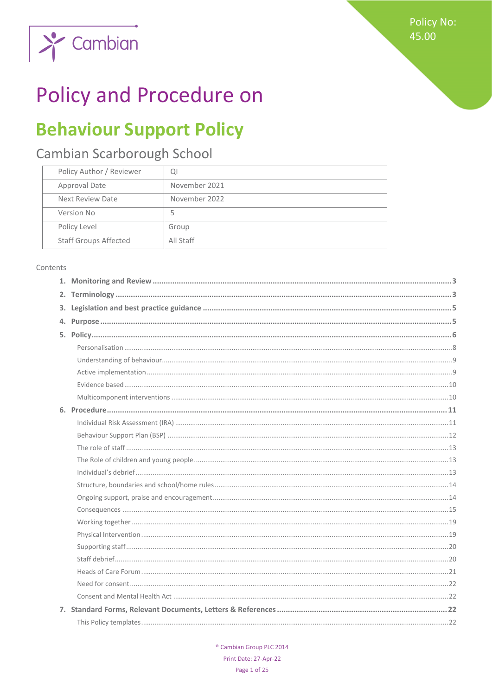**Policy No:** 45.00



# **Policy and Procedure on**

# **Behaviour Support Policy**

# Cambian Scarborough School

| Policy Author / Reviewer     | QI            |
|------------------------------|---------------|
| Approval Date                | November 2021 |
| Next Review Date             | November 2022 |
| Version No                   | 5             |
| Policy Level                 | Group         |
| <b>Staff Groups Affected</b> | All Staff     |

#### Contents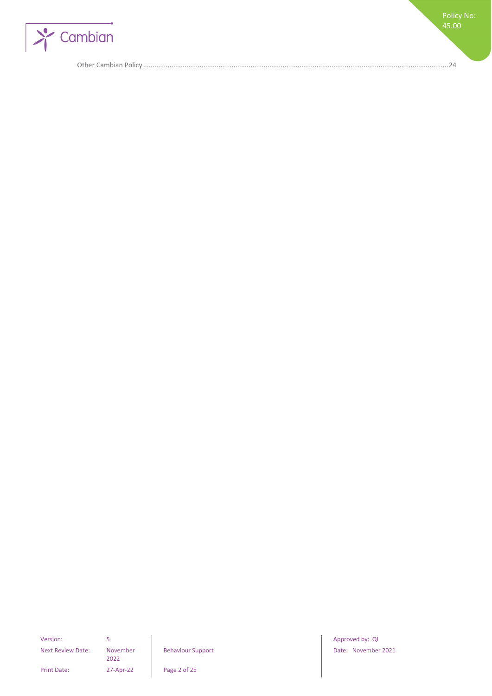

Other Cambian Policy [..................................................................................................................................................................24](#page-23-0)

Policy No: 45.00

Next Review Date: November

2022

Print Date: 27-Apr-22 Page 2 of 25

Version: 5 5 Approved by: QI Behaviour Support **Date: November 2021**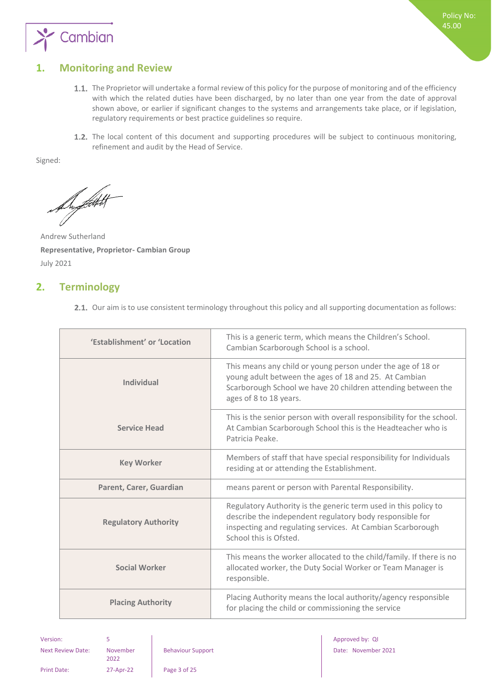

# <span id="page-2-0"></span>**1. Monitoring and Review**

- 1.1. The Proprietor will undertake a formal review of this policy for the purpose of monitoring and of the efficiency with which the related duties have been discharged, by no later than one year from the date of approval shown above, or earlier if significant changes to the systems and arrangements take place, or if legislation, regulatory requirements or best practice guidelines so require.
- 1.2. The local content of this document and supporting procedures will be subject to continuous monitoring, refinement and audit by the Head of Service.

Signed:

Support

Andrew Sutherland **Representative, Proprietor- Cambian Group** July 2021

# <span id="page-2-1"></span>**2. Terminology**

2.1. Our aim is to use consistent terminology throughout this policy and all supporting documentation as follows:

| 'Establishment' or 'Location | This is a generic term, which means the Children's School.<br>Cambian Scarborough School is a school.                                                                                                               |
|------------------------------|---------------------------------------------------------------------------------------------------------------------------------------------------------------------------------------------------------------------|
| <b>Individual</b>            | This means any child or young person under the age of 18 or<br>young adult between the ages of 18 and 25. At Cambian<br>Scarborough School we have 20 children attending between the<br>ages of 8 to 18 years.      |
| <b>Service Head</b>          | This is the senior person with overall responsibility for the school.<br>At Cambian Scarborough School this is the Headteacher who is<br>Patricia Peake.                                                            |
| <b>Key Worker</b>            | Members of staff that have special responsibility for Individuals<br>residing at or attending the Establishment.                                                                                                    |
| Parent, Carer, Guardian      | means parent or person with Parental Responsibility.                                                                                                                                                                |
| <b>Regulatory Authority</b>  | Regulatory Authority is the generic term used in this policy to<br>describe the independent regulatory body responsible for<br>inspecting and regulating services. At Cambian Scarborough<br>School this is Ofsted. |
| <b>Social Worker</b>         | This means the worker allocated to the child/family. If there is no<br>allocated worker, the Duty Social Worker or Team Manager is<br>responsible.                                                                  |
| <b>Placing Authority</b>     | Placing Authority means the local authority/agency responsible<br>for placing the child or commissioning the service                                                                                                |

Next Review Date: November

2022

Version: 5 Approved by: QI Approved by: QI Approved by: QI Approved by: QI Approved by: QI Behaviour Support **Date: November 2021** 

Print Date: 27-Apr-22 Page 3 of 25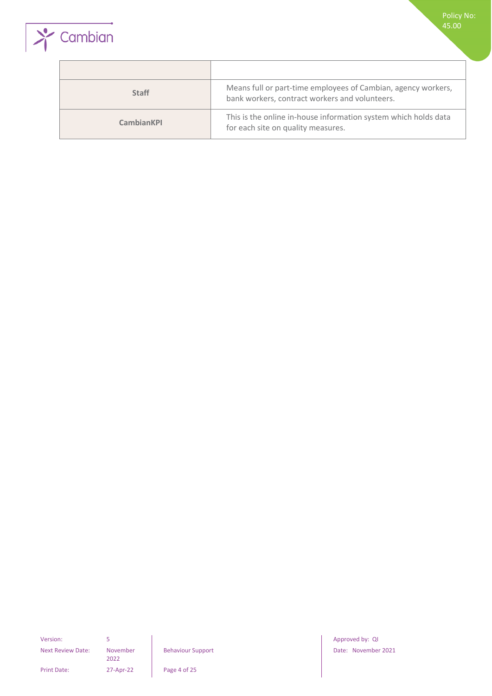



| <b>Staff</b>      | Means full or part-time employees of Cambian, agency workers,<br>bank workers, contract workers and volunteers. |
|-------------------|-----------------------------------------------------------------------------------------------------------------|
| <b>CambianKPI</b> | This is the online in-house information system which holds data<br>for each site on quality measures.           |

Next Review Date: November

2022

Print Date: 27-Apr-22 Page 4 of 25

Version: 5 3 3 Approved by: QI Approved by: QI Approved by: QI Approved by: QI Behaviour Support **Date: November 2021**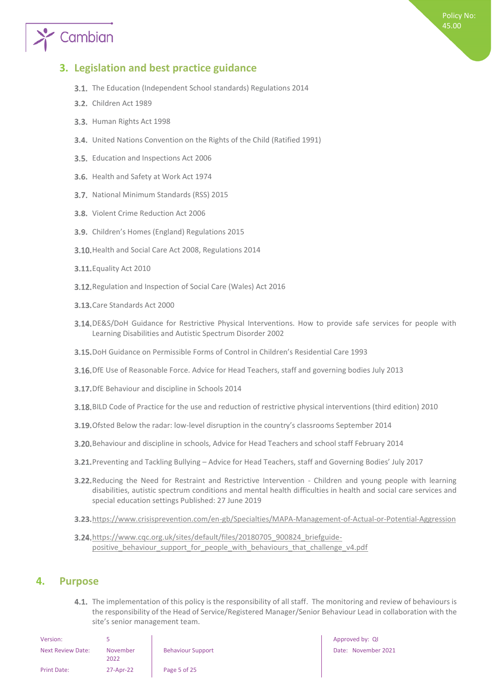# Cambian

## <span id="page-4-0"></span>**3. Legislation and best practice guidance**

- **3.1.** The Education (Independent School standards) Regulations 2014
- **3.2.** Children Act 1989
- 3.3. Human Rights Act 1998
- United Nations Convention on the Rights of the Child (Ratified 1991)
- 3.5. Education and Inspections Act 2006
- 3.6. Health and Safety at Work Act 1974
- 3.7. National Minimum Standards (RSS) 2015
- 3.8. Violent Crime Reduction Act 2006
- 3.9. Children's Homes (England) Regulations 2015
- 3.10. Health and Social Care Act 2008, Regulations 2014
- **3.11.** Equality Act 2010
- 3.12. Regulation and Inspection of Social Care (Wales) Act 2016
- 3.13. Care Standards Act 2000
- 3.14. DE&S/DoH Guidance for Restrictive Physical Interventions. How to provide safe services for people with Learning Disabilities and Autistic Spectrum Disorder 2002
- DoH Guidance on Permissible Forms of Control in Children's Residential Care 1993
- 3.16. DfE Use of Reasonable Force. Advice for Head Teachers, staff and governing bodies July 2013
- **3.17.** DfE Behaviour and discipline in Schools 2014
- BILD Code of Practice for the use and reduction of restrictive physical interventions (third edition) 2010
- 3.19. Ofsted Below the radar: low-level disruption in the country's classrooms September 2014
- Behaviour and discipline in schools, Advice for Head Teachers and school staff February 2014
- Preventing and Tackling Bullying Advice for Head Teachers, staff and Governing Bodies' July 2017
- 3.22. Reducing the Need for Restraint and Restrictive Intervention Children and young people with learning disabilities, autistic spectrum conditions and mental health difficulties in health and social care services and special education settings Published: 27 June 2019
- 3.23. <https://www.crisisprevention.com/en-gb/Specialties/MAPA-Management-of-Actual-or-Potential-Aggression>
- 3.24. [https://www.cqc.org.uk/sites/default/files/20180705\\_900824\\_briefguide](https://www.cqc.org.uk/sites/default/files/20180705_900824_briefguide-positive_behaviour_support_for_people_with_behaviours_that_challenge_v4.pdf)positive behaviour support for people with behaviours that challenge v4.pdf

### <span id="page-4-1"></span>**4. Purpose**

4.1. The implementation of this policy is the responsibility of all staff. The monitoring and review of behaviours is the responsibility of the Head of Service/Registered Manager/Senior Behaviour Lead in collaboration with the site's senior management team.

| Version:                 |                  |                          | Approved by: QI |
|--------------------------|------------------|--------------------------|-----------------|
| <b>Next Review Date:</b> | November<br>2022 | <b>Behaviour Support</b> | Date: Novembe   |
| <b>Print Date:</b>       | 27-Apr-22        | Page 5 of 25             |                 |

Date: November 2021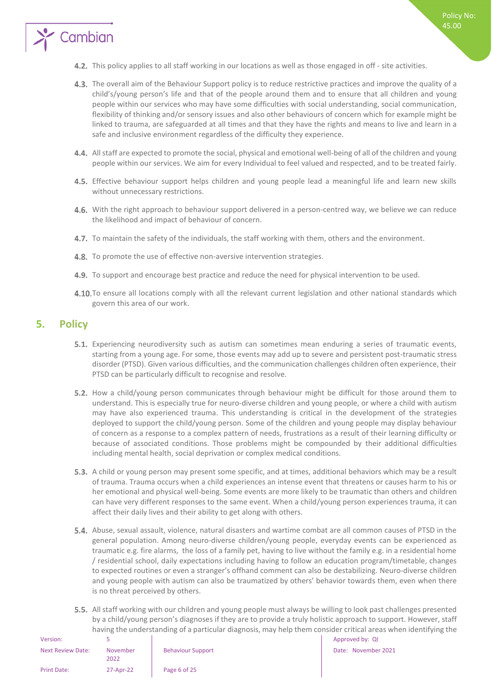

- 4.3. The overall aim of the Behaviour Support policy is to reduce restrictive practices and improve the quality of a child's/young person's life and that of the people around them and to ensure that all children and young people within our services who may have some difficulties with social understanding, social communication, flexibility of thinking and/or sensory issues and also other behaviours of concern which for example might be linked to trauma, are safeguarded at all times and that they have the rights and means to live and learn in a safe and inclusive environment regardless of the difficulty they experience.
- All staff are expected to promote the social, physical and emotional well-being of all of the children and young people within our services. We aim for every Individual to feel valued and respected, and to be treated fairly.
- 4.5. Effective behaviour support helps children and young people lead a meaningful life and learn new skills without unnecessary restrictions.
- 4.6. With the right approach to behaviour support delivered in a person-centred way, we believe we can reduce the likelihood and impact of behaviour of concern.
- 4.7. To maintain the safety of the individuals, the staff working with them, others and the environment.
- 4.8. To promote the use of effective non-aversive intervention strategies.
- 4.9. To support and encourage best practice and reduce the need for physical intervention to be used.
- 4.10. To ensure all locations comply with all the relevant current legislation and other national standards which govern this area of our work.

## <span id="page-5-0"></span>**5. Policy**

Cambian

- Experiencing neurodiversity such as autism can sometimes mean enduring a series of traumatic events, starting from a young age. For some, those events may add up to severe and persistent post-traumatic stress disorder (PTSD). Given various difficulties, and the communication challenges children often experience, their PTSD can be particularly difficult to recognise and resolve.
- 5.2. How a child/young person communicates through behaviour might be difficult for those around them to understand. This is especially true for neuro-diverse children and young people, or where a child with autism may have also experienced trauma. This understanding is critical in the development of the strategies deployed to support the child/young person. Some of the children and young people may display behaviour of concern as a response to a complex pattern of needs, frustrations as a result of their learning difficulty or because of associated conditions. Those problems might be compounded by their additional difficulties including mental health, social deprivation or complex medical conditions.
- 5.3. A child or young person may present some specific, and at times, additional behaviors which may be a result of trauma. Trauma occurs when a child experiences an intense event that threatens or causes harm to his or her emotional and physical well-being. Some events are more likely to be traumatic than others and children can have very different responses to the same event. When a child/young person experiences trauma, it can affect their daily lives and their ability to get along with others.
- 5.4. Abuse, sexual assault, violence, natural disasters and wartime combat are all common causes of PTSD in the general population. Among neuro-diverse children/young people, everyday events can be experienced as traumatic e.g. fire alarms, the loss of a family pet, having to live without the family e.g. in a residential home / residential school, daily expectations including having to follow an education program/timetable, changes to expected routines or even a stranger's offhand comment can also be destabilizing. Neuro-diverse children and young people with autism can also be traumatized by others' behavior towards them, even when there is no threat perceived by others.
- 5.5. All staff working with our children and young people must always be willing to look past challenges presented by a child/young person's diagnoses if they are to provide a truly holistic approach to support. However, staff having the understanding of a particular diagnosis, may help them consider critical areas when identifying the

| Version:                 |                  |                          | Approved by: QI |
|--------------------------|------------------|--------------------------|-----------------|
| <b>Next Review Date:</b> | November<br>2022 | <b>Behaviour Support</b> | Date: Novembe   |
| <b>Print Date:</b>       | 27-Apr-22        | Page 6 of 25             |                 |

Date: November 2021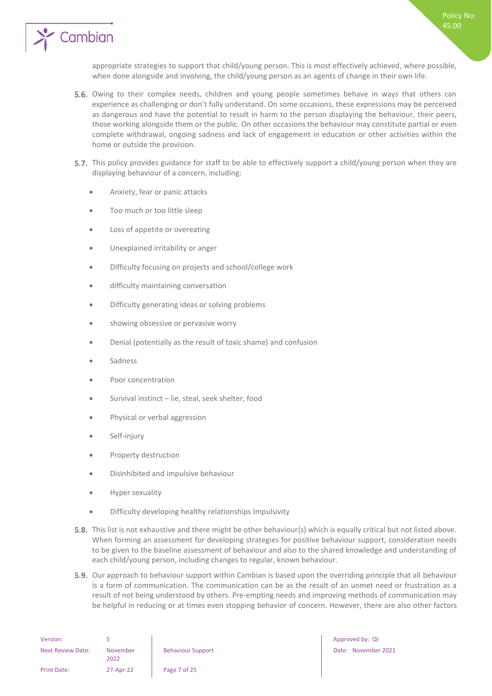

appropriate strategies to support that child/young person. This is most effectively achieved, where possible, when done alongside and involving, the child/young person as an agents of change in their own life.

- 5.6. Owing to their complex needs, children and young people sometimes behave in ways that others can experience as challenging or don't fully understand. On some occasions, these expressions may be perceived as dangerous and have the potential to result in harm to the person displaying the behaviour, their peers, those working alongside them or the public. On other occasions the behaviour may constitute partial or even complete withdrawal, ongoing sadness and lack of engagement in education or other activities within the home or outside the provision.
- 5.7. This policy provides guidance for staff to be able to effectively support a child/young person when they are displaying behaviour of a concern, including:
	- Anxiety, fear or panic attacks
	- Too much or too little sleep
	- Loss of appetite or overeating
	- Unexplained irritability or anger
	- Difficulty focusing on projects and school/college work
	- difficulty maintaining conversation
	- Difficulty generating ideas or solving problems
	- showing obsessive or pervasive worry
	- Denial (potentially as the result of toxic shame) and confusion
	- **Sadness**
	- Poor concentration
	- Survival instinct lie, steal, seek shelter, food
	- Physical or verbal aggression
	- Self-injury
	- Property destruction
	- Disinhibited and impulsive behaviour
	- Hyper sexuality
	- Difficulty developing healthy relationships Impulsivity
- 5.8. This list is not exhaustive and there might be other behaviour(s) which is equally critical but not listed above. When forming an assessment for developing strategies for positive behaviour support, consideration needs to be given to the baseline assessment of behaviour and also to the shared knowledge and understanding of each child/young person, including changes to regular, known behaviour.
- **5.9.** Our approach to behaviour support within Cambian is based upon the overriding principle that all behaviour is a form of communication. The communication can be as the result of an unmet need or frustration as a result of not being understood by others. Pre-empting needs and improving methods of communication may be helpful in reducing or at times even stopping behavior of concern. However, there are also other factors

| Version:                 |                  |                       |
|--------------------------|------------------|-----------------------|
| <b>Next Review Date:</b> | November<br>2022 | <b>Behaviour Supp</b> |
| Print Date:              | 27-Apr-22        | Page 7 of 25          |

Approved by: QI Behaviour Support Date: November 2021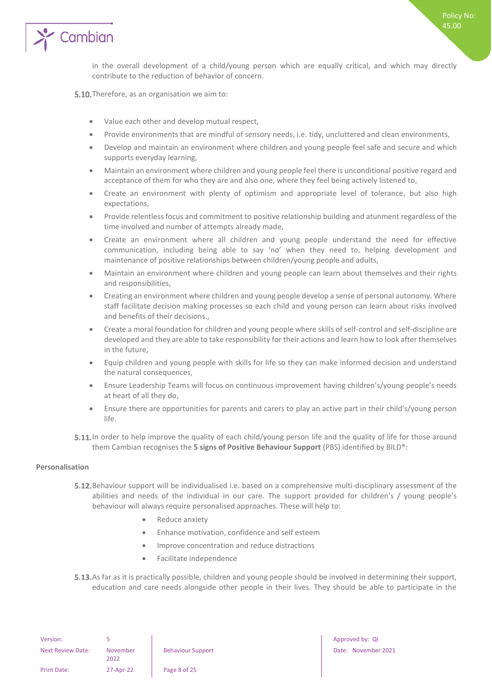

in the overall development of a child/young person which are equally critical, and which may directly contribute to the reduction of behavior of concern.

5.10. Therefore, as an organisation we aim to:

- Value each other and develop mutual respect,
- Provide environments that are mindful of sensory needs, i.e. tidy, uncluttered and clean environments,
- Develop and maintain an environment where children and young people feel safe and secure and which supports everyday learning,
- Maintain an environment where children and young people feel there is unconditional positive regard and acceptance of them for who they are and also one, where they feel being actively listened to,
- Create an environment with plenty of optimism and appropriate level of tolerance, but also high expectations,
- Provide relentless focus and commitment to positive relationship building and atunment regardless of the time involved and number of attempts already made,
- Create an environment where all children and young people understand the need for effective communication, including being able to say 'no' when they need to, helping development and maintenance of positive relationships between children/young people and adults,
- Maintain an environment where children and young people can learn about themselves and their rights and responsibilities,
- Creating an environment where children and young people develop a sense of personal autonomy. Where staff facilitate decision making processes so each child and young person can learn about risks involved and benefits of their decisions.,
- Create a moral foundation for children and young people where skills of self-control and self-discipline are developed and they are able to take responsibility for their actions and learn how to look after themselves in the future,
- Equip children and young people with skills for life so they can make informed decision and understand the natural consequences,
- Ensure Leadership Teams will focus on continuous improvement having children's/young people's needs at heart of all they do,
- Ensure there are opportunities for parents and carers to play an active part in their child's/young person life.
- 5.11. In order to help improve the quality of each child/young person life and the quality of life for those around them Cambian recognises the **5 signs of Positive Behaviour Support** (PBS) identified by BILD®:

#### <span id="page-7-0"></span>**Personalisation**

- **5.12.** Behaviour support will be individualised i.e. based on a comprehensive multi-disciplinary assessment of the abilities and needs of the individual in our care. The support provided for children's / young people's behaviour will always require personalised approaches. These will help to:
	- Reduce anxiety
	- Enhance motivation, confidence and self esteem
	- Improve concentration and reduce distractions
	- Facilitate independence
- 5.13. As far as it is practically possible, children and young people should be involved in determining their support, education and care needs alongside other people in their lives. They should be able to participate in the

| November<br>2022 |  |
|------------------|--|
| 27-Apr-22        |  |
|                  |  |

Page 8 of 25

Approved by: QI Behaviour Support Date: November 2021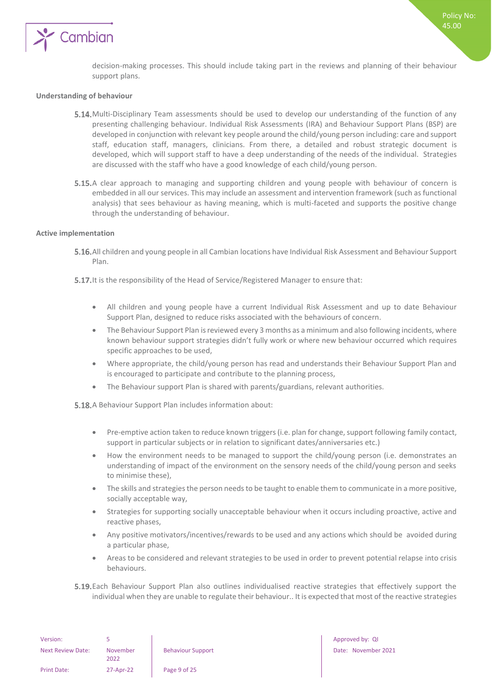

#### <span id="page-8-0"></span>**Understanding of behaviour**

- 5.14. Multi-Disciplinary Team assessments should be used to develop our understanding of the function of any presenting challenging behaviour. Individual Risk Assessments (IRA) and Behaviour Support Plans (BSP) are developed in conjunction with relevant key people around the child/young person including: care and support staff, education staff, managers, clinicians. From there, a detailed and robust strategic document is developed, which will support staff to have a deep understanding of the needs of the individual. Strategies are discussed with the staff who have a good knowledge of each child/young person.
- 5.15.A clear approach to managing and supporting children and young people with behaviour of concern is embedded in all our services. This may include an assessment and intervention framework (such as functional analysis) that sees behaviour as having meaning, which is multi-faceted and supports the positive change through the understanding of behaviour.

#### <span id="page-8-1"></span>**Active implementation**

- All children and young people in all Cambian locations have Individual Risk Assessment and Behaviour Support Plan.
- **5.17.** It is the responsibility of the Head of Service/Registered Manager to ensure that:
	- All children and young people have a current Individual Risk Assessment and up to date Behaviour Support Plan, designed to reduce risks associated with the behaviours of concern.
	- The Behaviour Support Plan is reviewed every 3 months as a minimum and also following incidents, where known behaviour support strategies didn't fully work or where new behaviour occurred which requires specific approaches to be used,
	- Where appropriate, the child/young person has read and understands their Behaviour Support Plan and is encouraged to participate and contribute to the planning process,
	- The Behaviour support Plan is shared with parents/guardians, relevant authorities.

5.18. A Behaviour Support Plan includes information about:

- Pre-emptive action taken to reduce known triggers (i.e. plan for change, support following family contact, support in particular subjects or in relation to significant dates/anniversaries etc.)
- How the environment needs to be managed to support the child/young person (i.e. demonstrates an understanding of impact of the environment on the sensory needs of the child/young person and seeks to minimise these),
- The skills and strategies the person needs to be taught to enable them to communicate in a more positive, socially acceptable way,
- Strategies for supporting socially unacceptable behaviour when it occurs including proactive, active and reactive phases,
- Any positive motivators/incentives/rewards to be used and any actions which should be avoided during a particular phase,
- Areas to be considered and relevant strategies to be used in order to prevent potential relapse into crisis behaviours.
- Each Behaviour Support Plan also outlines individualised reactive strategies that effectively support the individual when they are unable to regulate their behaviour.. It is expected that most of the reactive strategies

| Version:           |                  |                          | Approved by: QI |
|--------------------|------------------|--------------------------|-----------------|
| Next Review Date:  | November<br>2022 | <b>Behaviour Support</b> | Date: Novembe   |
| <b>Print Date:</b> | 27-Apr-22        | Page 9 of 25             |                 |

Behaviour Support Date: November 2021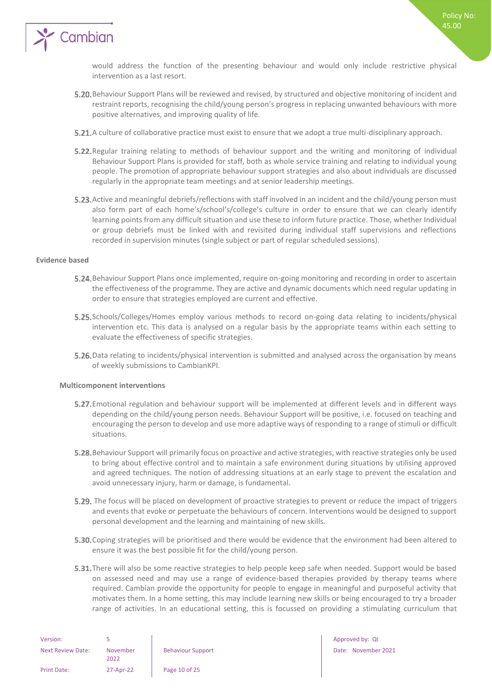

would address the function of the presenting behaviour and would only include restrictive physical intervention as a last resort.

- Behaviour Support Plans will be reviewed and revised, by structured and objective monitoring of incident and restraint reports, recognising the child/young person's progress in replacing unwanted behaviours with more positive alternatives, and improving quality of life.
- **5.21.** A culture of collaborative practice must exist to ensure that we adopt a true multi-disciplinary approach.
- **5.22.** Regular training relating to methods of behaviour support and the writing and monitoring of individual Behaviour Support Plans is provided for staff, both as whole service training and relating to individual young people. The promotion of appropriate behaviour support strategies and also about individuals are discussed regularly in the appropriate team meetings and at senior leadership meetings.
- 5.23. Active and meaningful debriefs/reflections with staff involved in an incident and the child/young person must also form part of each home's/school's/college's culture in order to ensure that we can clearly identify learning points from any difficult situation and use these to inform future practice. Those, whether Individual or group debriefs must be linked with and revisited during individual staff supervisions and reflections recorded in supervision minutes (single subject or part of regular scheduled sessions).

#### <span id="page-9-0"></span>**Evidence based**

- **5.24.** Behaviour Support Plans once implemented, require on-going monitoring and recording in order to ascertain the effectiveness of the programme. They are active and dynamic documents which need regular updating in order to ensure that strategies employed are current and effective.
- 5.25. Schools/Colleges/Homes employ various methods to record on-going data relating to incidents/physical intervention etc. This data is analysed on a regular basis by the appropriate teams within each setting to evaluate the effectiveness of specific strategies.
- 5.26. Data relating to incidents/physical intervention is submitted and analysed across the organisation by means of weekly submissions to CambianKPI.

#### <span id="page-9-1"></span>**Multicomponent interventions**

- **5.27.** Emotional regulation and behaviour support will be implemented at different levels and in different ways depending on the child/young person needs. Behaviour Support will be positive, i.e. focused on teaching and encouraging the person to develop and use more adaptive ways of responding to a range of stimuli or difficult situations.
- 5.28. Behaviour Support will primarily focus on proactive and active strategies, with reactive strategies only be used to bring about effective control and to maintain a safe environment during situations by utilising approved and agreed techniques. The notion of addressing situations at an early stage to prevent the escalation and avoid unnecessary injury, harm or damage, is fundamental.
- 5.29. The focus will be placed on development of proactive strategies to prevent or reduce the impact of triggers and events that evoke or perpetuate the behaviours of concern. Interventions would be designed to support personal development and the learning and maintaining of new skills.
- **5.30.** Coping strategies will be prioritised and there would be evidence that the environment had been altered to ensure it was the best possible fit for the child/young person.
- **5.31.** There will also be some reactive strategies to help people keep safe when needed. Support would be based on assessed need and may use a range of evidence-based therapies provided by therapy teams where required. Cambian provide the opportunity for people to engage in meaningful and purposeful activity that motivates them. In a home setting, this may include learning new skills or being encouraged to try a broader range of activities. In an educational setting, this is focussed on providing a stimulating curriculum that

| Version:                 |                  |                      |
|--------------------------|------------------|----------------------|
| <b>Next Review Date:</b> | November<br>2022 | <b>Behaviour Sup</b> |
| <b>Print Date:</b>       | 27-Apr-22        | Page 10 of 25        |

Version: 5 Approved by: QI Behaviour Support Date: November 2021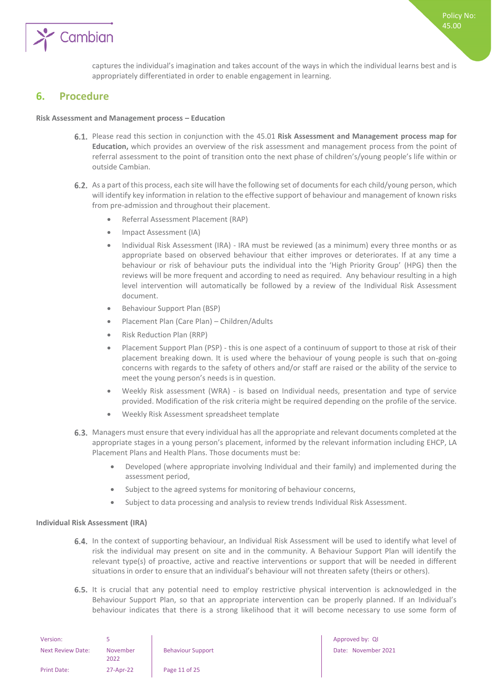

captures the individual's imagination and takes account of the ways in which the individual learns best and is appropriately differentiated in order to enable engagement in learning.

### <span id="page-10-0"></span>**6. Procedure**

#### **Risk Assessment and Management process – Education**

- Please read this section in conjunction with the 45.01 **Risk Assessment and Management process map for Education,** which provides an overview of the risk assessment and management process from the point of referral assessment to the point of transition onto the next phase of children's/young people's life within or outside Cambian.
- 6.2. As a part of this process, each site will have the following set of documents for each child/young person, which will identify key information in relation to the effective support of behaviour and management of known risks from pre-admission and throughout their placement.
	- Referral Assessment Placement (RAP)
	- Impact Assessment (IA)
	- Individual Risk Assessment (IRA) IRA must be reviewed (as a minimum) every three months or as appropriate based on observed behaviour that either improves or deteriorates. If at any time a behaviour or risk of behaviour puts the individual into the 'High Priority Group' (HPG) then the reviews will be more frequent and according to need as required. Any behaviour resulting in a high level intervention will automatically be followed by a review of the Individual Risk Assessment document.
	- Behaviour Support Plan (BSP)
	- Placement Plan (Care Plan) Children/Adults
	- Risk Reduction Plan (RRP)
	- Placement Support Plan (PSP) this is one aspect of a continuum of support to those at risk of their placement breaking down. It is used where the behaviour of young people is such that on-going concerns with regards to the safety of others and/or staff are raised or the ability of the service to meet the young person's needs is in question.
	- Weekly Risk assessment (WRA) is based on Individual needs, presentation and type of service provided. Modification of the risk criteria might be required depending on the profile of the service.
	- Weekly Risk Assessment spreadsheet template
- 6.3. Managers must ensure that every individual has all the appropriate and relevant documents completed at the appropriate stages in a young person's placement, informed by the relevant information including EHCP, LA Placement Plans and Health Plans. Those documents must be:
	- Developed (where appropriate involving Individual and their family) and implemented during the assessment period,
	- Subject to the agreed systems for monitoring of behaviour concerns,
	- Subject to data processing and analysis to review trends Individual Risk Assessment.

#### <span id="page-10-1"></span>**Individual Risk Assessment (IRA)**

- 6.4. In the context of supporting behaviour, an Individual Risk Assessment will be used to identify what level of risk the individual may present on site and in the community. A Behaviour Support Plan will identify the relevant type(s) of proactive, active and reactive interventions or support that will be needed in different situations in order to ensure that an individual's behaviour will not threaten safety (theirs or others).
- 6.5. It is crucial that any potential need to employ restrictive physical intervention is acknowledged in the Behaviour Support Plan, so that an appropriate intervention can be properly planned. If an Individual's behaviour indicates that there is a strong likelihood that it will become necessary to use some form of

| Version:                 |                  |                          |
|--------------------------|------------------|--------------------------|
| <b>Next Review Date:</b> | November<br>2022 | <b>Behaviour Support</b> |
| Print Date:              | 27-Apr-22        | Page 11 of 25            |

Approved by: QI Date: November 2021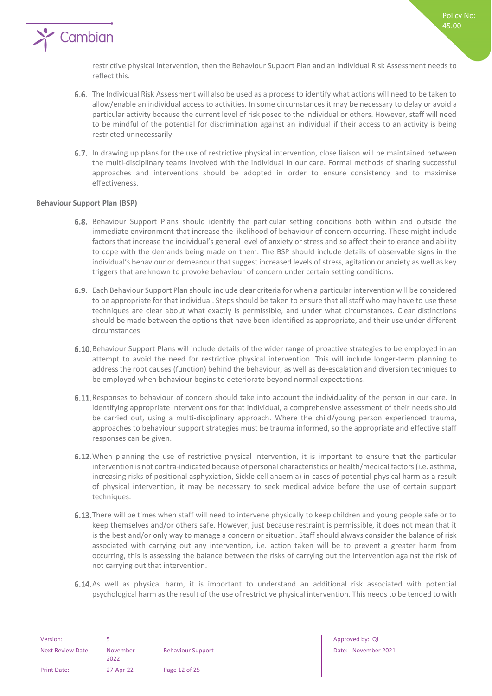

restrictive physical intervention, then the Behaviour Support Plan and an Individual Risk Assessment needs to reflect this.

- 6.6. The Individual Risk Assessment will also be used as a process to identify what actions will need to be taken to allow/enable an individual access to activities. In some circumstances it may be necessary to delay or avoid a particular activity because the current level of risk posed to the individual or others. However, staff will need to be mindful of the potential for discrimination against an individual if their access to an activity is being restricted unnecessarily.
- 6.7. In drawing up plans for the use of restrictive physical intervention, close liaison will be maintained between the multi-disciplinary teams involved with the individual in our care. Formal methods of sharing successful approaches and interventions should be adopted in order to ensure consistency and to maximise effectiveness.

#### <span id="page-11-0"></span>**Behaviour Support Plan (BSP)**

- 6.8. Behaviour Support Plans should identify the particular setting conditions both within and outside the immediate environment that increase the likelihood of behaviour of concern occurring. These might include factors that increase the individual's general level of anxiety or stress and so affect their tolerance and ability to cope with the demands being made on them. The BSP should include details of observable signs in the individual's behaviour or demeanour that suggest increased levels of stress, agitation or anxiety as well as key triggers that are known to provoke behaviour of concern under certain setting conditions.
- Each Behaviour Support Plan should include clear criteria for when a particular intervention will be considered to be appropriate for that individual. Steps should be taken to ensure that all staff who may have to use these techniques are clear about what exactly is permissible, and under what circumstances. Clear distinctions should be made between the options that have been identified as appropriate, and their use under different circumstances.
- 6.10. Behaviour Support Plans will include details of the wider range of proactive strategies to be employed in an attempt to avoid the need for restrictive physical intervention. This will include longer-term planning to address the root causes (function) behind the behaviour, as well as de-escalation and diversion techniques to be employed when behaviour begins to deteriorate beyond normal expectations.
- 6.11. Responses to behaviour of concern should take into account the individuality of the person in our care. In identifying appropriate interventions for that individual, a comprehensive assessment of their needs should be carried out, using a multi-disciplinary approach. Where the child/young person experienced trauma, approaches to behaviour support strategies must be trauma informed, so the appropriate and effective staff responses can be given.
- 6.12. When planning the use of restrictive physical intervention, it is important to ensure that the particular intervention is not contra-indicated because of personal characteristics or health/medical factors (i.e. asthma, increasing risks of positional asphyxiation, Sickle cell anaemia) in cases of potential physical harm as a result of physical intervention, it may be necessary to seek medical advice before the use of certain support techniques.
- 6.13. There will be times when staff will need to intervene physically to keep children and young people safe or to keep themselves and/or others safe. However, just because restraint is permissible, it does not mean that it is the best and/or only way to manage a concern or situation. Staff should always consider the balance of risk associated with carrying out any intervention, i.e. action taken will be to prevent a greater harm from occurring, this is assessing the balance between the risks of carrying out the intervention against the risk of not carrying out that intervention.
- 6.14. As well as physical harm, it is important to understand an additional risk associated with potential psychological harm as the result of the use of restrictive physical intervention. This needs to be tended to with

| Version:           |                  |                          | Approved by: QI |
|--------------------|------------------|--------------------------|-----------------|
| Next Review Date:  | November<br>2022 | <b>Behaviour Support</b> | Date: Novembe   |
| <b>Print Date:</b> | 27-Apr-22        | Page 12 of 25            |                 |

Behaviour Support **Date: November 2021**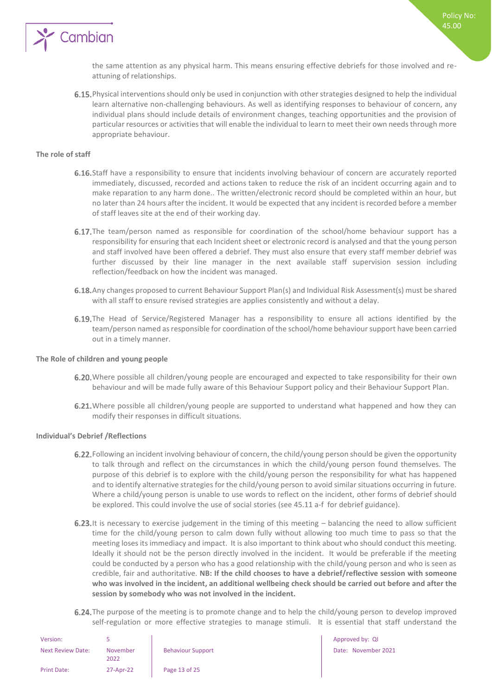

the same attention as any physical harm. This means ensuring effective debriefs for those involved and reattuning of relationships.

6.15. Physical interventions should only be used in conjunction with other strategies designed to help the individual learn alternative non-challenging behaviours. As well as identifying responses to behaviour of concern, any individual plans should include details of environment changes, teaching opportunities and the provision of particular resources or activities that will enable the individual to learn to meet their own needs through more appropriate behaviour.

#### <span id="page-12-0"></span>**The role of staff**

- 6.16. Staff have a responsibility to ensure that incidents involving behaviour of concern are accurately reported immediately, discussed, recorded and actions taken to reduce the risk of an incident occurring again and to make reparation to any harm done.. The written/electronic record should be completed within an hour, but no later than 24 hours after the incident. It would be expected that any incident is recorded before a member of staff leaves site at the end of their working day.
- **6.17.** The team/person named as responsible for coordination of the school/home behaviour support has a responsibility for ensuring that each Incident sheet or electronic record is analysed and that the young person and staff involved have been offered a debrief. They must also ensure that every staff member debrief was further discussed by their line manager in the next available staff supervision session including reflection/feedback on how the incident was managed.
- 6.18. Any changes proposed to current Behaviour Support Plan(s) and Individual Risk Assessment(s) must be shared with all staff to ensure revised strategies are applies consistently and without a delay.
- 6.19. The Head of Service/Registered Manager has a responsibility to ensure all actions identified by the team/person named as responsible for coordination of the school/home behaviour support have been carried out in a timely manner.

#### <span id="page-12-1"></span>**The Role of children and young people**

- 6.20. Where possible all children/young people are encouraged and expected to take responsibility for their own behaviour and will be made fully aware of this Behaviour Support policy and their Behaviour Support Plan.
- 6.21. Where possible all children/young people are supported to understand what happened and how they can modify their responses in difficult situations.

#### <span id="page-12-2"></span>**Individual's Debrief /Reflections**

- 6.22. Following an incident involving behaviour of concern, the child/young person should be given the opportunity to talk through and reflect on the circumstances in which the child/young person found themselves. The purpose of this debrief is to explore with the child/young person the responsibility for what has happened and to identify alternative strategies for the child/young person to avoid similar situations occurring in future. Where a child/young person is unable to use words to reflect on the incident, other forms of debrief should be explored. This could involve the use of social stories (see 45.11 a-f for debrief guidance).
- 6.23. It is necessary to exercise judgement in the timing of this meeting  $-$  balancing the need to allow sufficient time for the child/young person to calm down fully without allowing too much time to pass so that the meeting loses its immediacy and impact. It is also important to think about who should conduct this meeting. Ideally it should not be the person directly involved in the incident. It would be preferable if the meeting could be conducted by a person who has a good relationship with the child/young person and who is seen as credible, fair and authoritative. **NB: If the child chooses to have a debrief/reflective session with someone who was involved in the incident, an additional wellbeing check should be carried out before and after the session by somebody who was not involved in the incident.**
- 6.24. The purpose of the meeting is to promote change and to help the child/young person to develop improved self-regulation or more effective strategies to manage stimuli. It is essential that staff understand the

Approved by: QI

Date: November 2021

| Version:                 |                  |                          |
|--------------------------|------------------|--------------------------|
| <b>Next Review Date:</b> | November<br>วกวว | <b>Behaviour Support</b> |
| <b>Print Date:</b>       | 27-Apr-22        | Page 13 of 25            |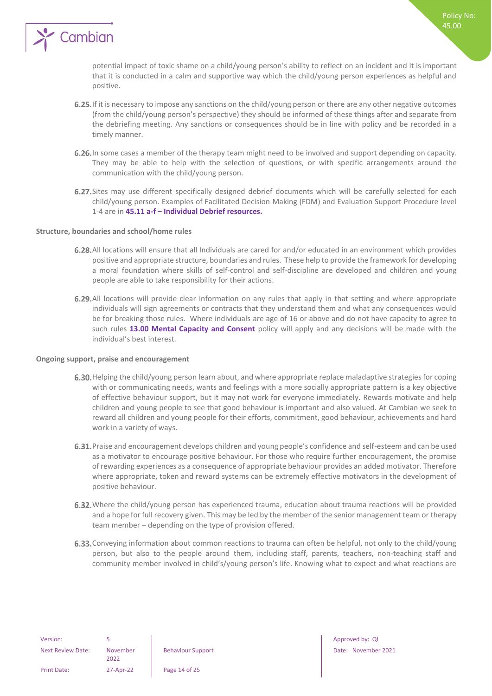

potential impact of toxic shame on a child/young person's ability to reflect on an incident and It is important that it is conducted in a calm and supportive way which the child/young person experiences as helpful and positive.

- 6.25. If it is necessary to impose any sanctions on the child/young person or there are any other negative outcomes (from the child/young person's perspective) they should be informed of these things after and separate from the debriefing meeting. Any sanctions or consequences should be in line with policy and be recorded in a timely manner.
- 6.26. In some cases a member of the therapy team might need to be involved and support depending on capacity. They may be able to help with the selection of questions, or with specific arrangements around the communication with the child/young person.
- 6.27. Sites may use different specifically designed debrief documents which will be carefully selected for each child/young person. Examples of Facilitated Decision Making (FDM) and Evaluation Support Procedure level 1-4 are in **45.11 a-f – Individual Debrief resources.**

#### <span id="page-13-0"></span>**Structure, boundaries and school/home rules**

- 6.28. All locations will ensure that all Individuals are cared for and/or educated in an environment which provides positive and appropriate structure, boundaries and rules. These help to provide the framework for developing a moral foundation where skills of self-control and self-discipline are developed and children and young people are able to take responsibility for their actions.
- 6.29. All locations will provide clear information on any rules that apply in that setting and where appropriate individuals will sign agreements or contracts that they understand them and what any consequences would be for breaking those rules. Where individuals are age of 16 or above and do not have capacity to agree to such rules **13.00 Mental Capacity and Consent** policy will apply and any decisions will be made with the individual's best interest.

#### <span id="page-13-1"></span>**Ongoing support, praise and encouragement**

- 6.30. Helping the child/young person learn about, and where appropriate replace maladaptive strategies for coping with or communicating needs, wants and feelings with a more socially appropriate pattern is a key objective of effective behaviour support, but it may not work for everyone immediately. Rewards motivate and help children and young people to see that good behaviour is important and also valued. At Cambian we seek to reward all children and young people for their efforts, commitment, good behaviour, achievements and hard work in a variety of ways.
- 6.31. Praise and encouragement develops children and young people's confidence and self-esteem and can be used as a motivator to encourage positive behaviour. For those who require further encouragement, the promise of rewarding experiences as a consequence of appropriate behaviour provides an added motivator. Therefore where appropriate, token and reward systems can be extremely effective motivators in the development of positive behaviour.
- 6.32. Where the child/young person has experienced trauma, education about trauma reactions will be provided and a hope for full recovery given. This may be led by the member of the senior management team or therapy team member – depending on the type of provision offered.
- 6.33. Conveying information about common reactions to trauma can often be helpful, not only to the child/young person, but also to the people around them, including staff, parents, teachers, non-teaching staff and community member involved in child's/young person's life. Knowing what to expect and what reactions are

Behaviour Support **Date: November 2021**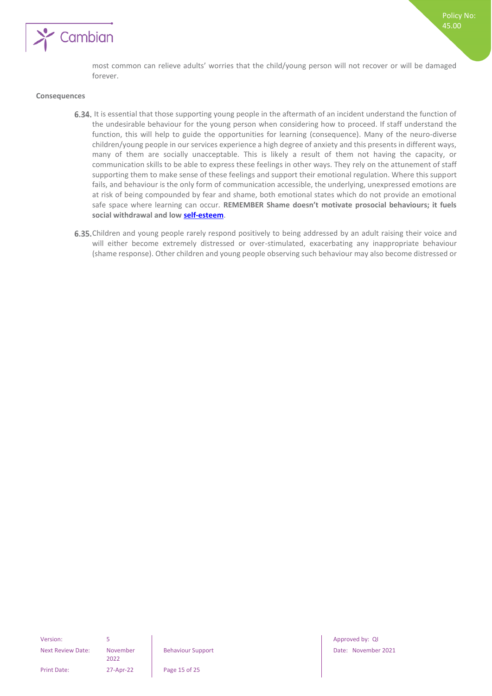

most common can relieve adults' worries that the child/young person will not recover or will be damaged forever.

#### <span id="page-14-0"></span>**Consequences**

- 6.34. It is essential that those supporting young people in the aftermath of an incident understand the function of the undesirable behaviour for the young person when considering how to proceed. If staff understand the function, this will help to guide the opportunities for learning (consequence). Many of the neuro-diverse children/young people in our services experience a high degree of anxiety and this presents in different ways, many of them are socially unacceptable. This is likely a result of them not having the capacity, or communication skills to be able to express these feelings in other ways. They rely on the attunement of staff supporting them to make sense of these feelings and support their emotional regulation. Where this support fails, and behaviour is the only form of communication accessible, the underlying, unexpressed emotions are at risk of being compounded by fear and shame, both emotional states which do not provide an emotional safe space where learning can occur. **REMEMBER Shame doesn't motivate prosocial behaviours; it fuels social withdrawal and low [self-esteem](https://www.psychologytoday.com/us/basics/self-esteem)**.
- 6.35. Children and young people rarely respond positively to being addressed by an adult raising their voice and will either become extremely distressed or over-stimulated, exacerbating any inappropriate behaviour (shame response). Other children and young people observing such behaviour may also become distressed or

2022

Print Date: 27-Apr-22 Page 15 of 25

Version: 5 Approved by: QI Behaviour Support Date: November 2021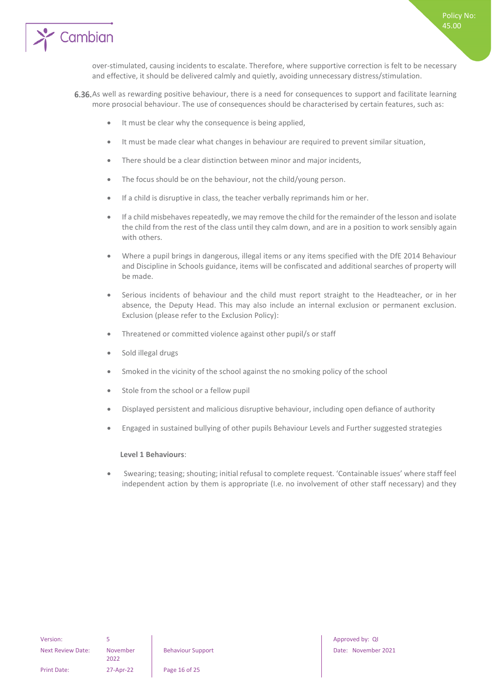



over-stimulated, causing incidents to escalate. Therefore, where supportive correction is felt to be necessary and effective, it should be delivered calmly and quietly, avoiding unnecessary distress/stimulation.

- 6.36. As well as rewarding positive behaviour, there is a need for consequences to support and facilitate learning more prosocial behaviour. The use of consequences should be characterised by certain features, such as:
	- It must be clear why the consequence is being applied,
	- It must be made clear what changes in behaviour are required to prevent similar situation,
	- There should be a clear distinction between minor and major incidents,
	- The focus should be on the behaviour, not the child/young person.
	- If a child is disruptive in class, the teacher verbally reprimands him or her.
	- If a child misbehaves repeatedly, we may remove the child for the remainder of the lesson and isolate the child from the rest of the class until they calm down, and are in a position to work sensibly again with others.
	- Where a pupil brings in dangerous, illegal items or any items specified with the DfE 2014 Behaviour and Discipline in Schools guidance, items will be confiscated and additional searches of property will be made.
	- Serious incidents of behaviour and the child must report straight to the Headteacher, or in her absence, the Deputy Head. This may also include an internal exclusion or permanent exclusion. Exclusion (please refer to the Exclusion Policy):
	- Threatened or committed violence against other pupil/s or staff
	- Sold illegal drugs
	- Smoked in the vicinity of the school against the no smoking policy of the school
	- Stole from the school or a fellow pupil
	- Displayed persistent and malicious disruptive behaviour, including open defiance of authority
	- Engaged in sustained bullying of other pupils Behaviour Levels and Further suggested strategies

#### **Level 1 Behaviours**:

• Swearing; teasing; shouting; initial refusal to complete request. 'Containable issues' where staff feel independent action by them is appropriate (I.e. no involvement of other staff necessary) and they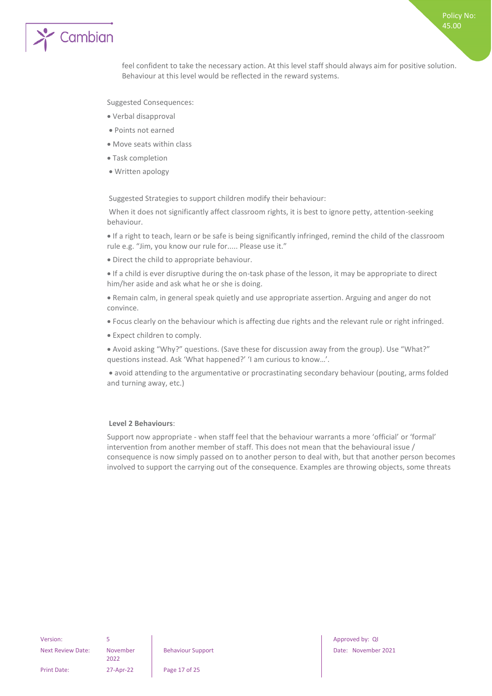

feel confident to take the necessary action. At this level staff should always aim for positive solution. Behaviour at this level would be reflected in the reward systems.

Suggested Consequences:

- Verbal disapproval
- Points not earned
- Move seats within class
- Task completion
- Written apology

Suggested Strategies to support children modify their behaviour:

When it does not significantly affect classroom rights, it is best to ignore petty, attention-seeking behaviour.

• If a right to teach, learn or be safe is being significantly infringed, remind the child of the classroom rule e.g. "Jim, you know our rule for..... Please use it."

• Direct the child to appropriate behaviour.

• If a child is ever disruptive during the on-task phase of the lesson, it may be appropriate to direct him/her aside and ask what he or she is doing.

• Remain calm, in general speak quietly and use appropriate assertion. Arguing and anger do not convince.

- Focus clearly on the behaviour which is affecting due rights and the relevant rule or right infringed.
- Expect children to comply.

• Avoid asking "Why?" questions. (Save these for discussion away from the group). Use "What?" questions instead. Ask 'What happened?' 'I am curious to know…'.

• avoid attending to the argumentative or procrastinating secondary behaviour (pouting, arms folded and turning away, etc.)

#### **Level 2 Behaviours**:

Support now appropriate - when staff feel that the behaviour warrants a more 'official' or 'formal' intervention from another member of staff. This does not mean that the behavioural issue / consequence is now simply passed on to another person to deal with, but that another person becomes involved to support the carrying out of the consequence. Examples are throwing objects, some threats

Next Review Date: November

2022

Print Date: 27-Apr-22 Page 17 of 25

Version: 5 5 Approved by: QI Approved by: QI Approved by: QI Approved by: QI Approved by: QI Behaviour Support Date: November 2021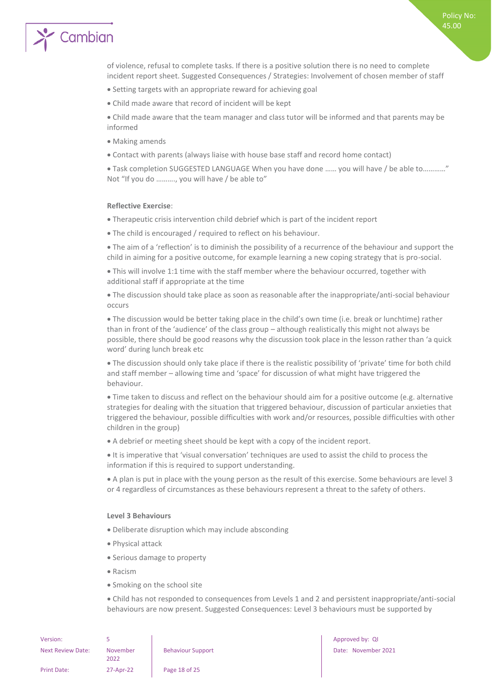of violence, refusal to complete tasks. If there is a positive solution there is no need to complete incident report sheet. Suggested Consequences / Strategies: Involvement of chosen member of staff

- Setting targets with an appropriate reward for achieving goal
- Child made aware that record of incident will be kept

• Child made aware that the team manager and class tutor will be informed and that parents may be informed

- Making amends
- Contact with parents (always liaise with house base staff and record home contact)

• Task completion SUGGESTED LANGUAGE When you have done …… you will have / be able to…………" Not "If you do ………., you will have / be able to"

#### **Reflective Exercise**:

- Therapeutic crisis intervention child debrief which is part of the incident report
- The child is encouraged / required to reflect on his behaviour.

• The aim of a 'reflection' is to diminish the possibility of a recurrence of the behaviour and support the child in aiming for a positive outcome, for example learning a new coping strategy that is pro-social.

• This will involve 1:1 time with the staff member where the behaviour occurred, together with additional staff if appropriate at the time

• The discussion should take place as soon as reasonable after the inappropriate/anti-social behaviour occurs

• The discussion would be better taking place in the child's own time (i.e. break or lunchtime) rather than in front of the 'audience' of the class group – although realistically this might not always be possible, there should be good reasons why the discussion took place in the lesson rather than 'a quick word' during lunch break etc

• The discussion should only take place if there is the realistic possibility of 'private' time for both child and staff member – allowing time and 'space' for discussion of what might have triggered the behaviour.

• Time taken to discuss and reflect on the behaviour should aim for a positive outcome (e.g. alternative strategies for dealing with the situation that triggered behaviour, discussion of particular anxieties that triggered the behaviour, possible difficulties with work and/or resources, possible difficulties with other children in the group)

• A debrief or meeting sheet should be kept with a copy of the incident report.

• It is imperative that 'visual conversation' techniques are used to assist the child to process the information if this is required to support understanding.

• A plan is put in place with the young person as the result of this exercise. Some behaviours are level 3 or 4 regardless of circumstances as these behaviours represent a threat to the safety of others.

#### **Level 3 Behaviours**

- Deliberate disruption which may include absconding
- Physical attack
- Serious damage to property
- Racism
- Smoking on the school site

• Child has not responded to consequences from Levels 1 and 2 and persistent inappropriate/anti-social behaviours are now present. Suggested Consequences: Level 3 behaviours must be supported by

| Version:                 | Б                |
|--------------------------|------------------|
| <b>Next Review Date:</b> | November<br>2022 |
| Print Date:              | 27-Apr-22        |

Approved by: QI Behaviour Support Date: November 2021 Policy No: 45.00

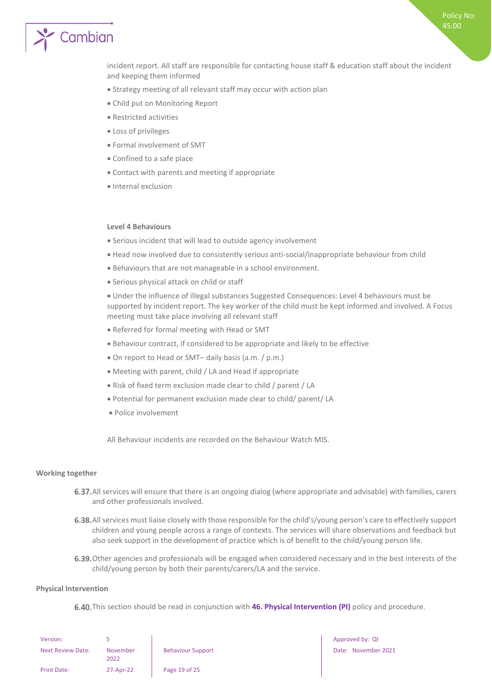Policy No: 45.00

# Cambian

incident report. All staff are responsible for contacting house staff & education staff about the incident and keeping them informed

- Strategy meeting of all relevant staff may occur with action plan
- Child put on Monitoring Report
- Restricted activities
- Loss of privileges
- Formal involvement of SMT
- Confined to a safe place
- Contact with parents and meeting if appropriate
- Internal exclusion

#### **Level 4 Behaviours**

- Serious incident that will lead to outside agency involvement
- Head now involved due to consistently serious anti-social/inappropriate behaviour from child
- Behaviours that are not manageable in a school environment.
- Serious physical attack on child or staff

• Under the influence of illegal substances Suggested Consequences: Level 4 behaviours must be supported by incident report. The key worker of the child must be kept informed and involved. A Focus meeting must take place involving all relevant staff

- Referred for formal meeting with Head or SMT
- Behaviour contract, if considered to be appropriate and likely to be effective
- On report to Head or SMT– daily basis (a.m. / p.m.)
- Meeting with parent, child / LA and Head if appropriate
- Risk of fixed term exclusion made clear to child / parent / LA
- Potential for permanent exclusion made clear to child/ parent/ LA
- Police involvement

All Behaviour incidents are recorded on the Behaviour Watch MIS.

#### <span id="page-18-0"></span>**Working together**

- 6.37. All services will ensure that there is an ongoing dialog (where appropriate and advisable) with families, carers and other professionals involved.
- 6.38. All services must liaise closely with those responsible for the child's/young person's care to effectively support children and young people across a range of contexts. The services will share observations and feedback but also seek support in the development of practice which is of benefit to the child/young person life.
- 6.39. Other agencies and professionals will be engaged when considered necessary and in the best interests of the child/young person by both their parents/carers/LA and the service.

#### <span id="page-18-1"></span>**Physical Intervention**

6.40. This section should be read in conjunction with 46. Physical Intervention (PI) policy and procedure.

| Version:                 |                  |      |
|--------------------------|------------------|------|
| <b>Next Review Date:</b> | November<br>2022 | Beha |
| <b>Print Date:</b>       | 27-Apr-22        | Page |

e 19 of 25

Approved by: QI Behaviour Support Date: November 2021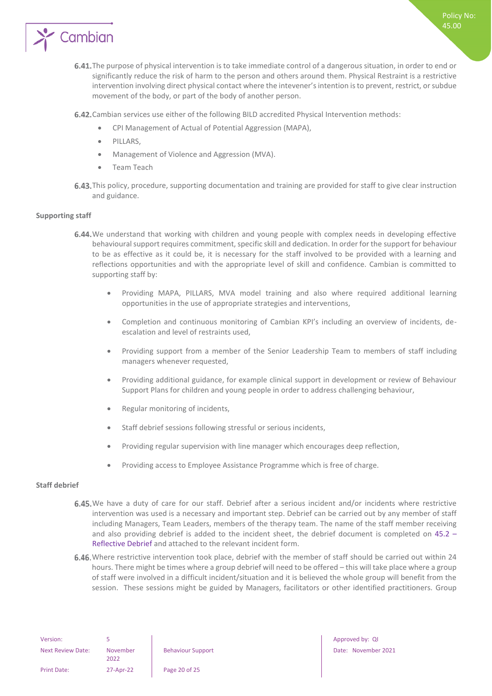

- 6.41. The purpose of physical intervention is to take immediate control of a dangerous situation, in order to end or significantly reduce the risk of harm to the person and others around them. Physical Restraint is a restrictive intervention involving direct physical contact where the intevener's intention is to prevent, restrict, or subdue movement of the body, or part of the body of another person.
- 6.42. Cambian services use either of the following BILD accredited Physical Intervention methods:
	- CPI Management of Actual of Potential Aggression (MAPA),
	- PILLARS,
	- Management of Violence and Aggression (MVA).
	- Team Teach
- 6.43. This policy, procedure, supporting documentation and training are provided for staff to give clear instruction and guidance.

#### <span id="page-19-0"></span>**Supporting staff**

- 6.44. We understand that working with children and young people with complex needs in developing effective behavioural support requires commitment, specific skill and dedication. In order for the support for behaviour to be as effective as it could be, it is necessary for the staff involved to be provided with a learning and reflections opportunities and with the appropriate level of skill and confidence. Cambian is committed to supporting staff by:
	- Providing MAPA, PILLARS, MVA model training and also where required additional learning opportunities in the use of appropriate strategies and interventions,
	- Completion and continuous monitoring of Cambian KPI's including an overview of incidents, deescalation and level of restraints used,
	- Providing support from a member of the Senior Leadership Team to members of staff including managers whenever requested,
	- Providing additional guidance, for example clinical support in development or review of Behaviour Support Plans for children and young people in order to address challenging behaviour,
	- Regular monitoring of incidents,
	- Staff debrief sessions following stressful or serious incidents,
	- Providing regular supervision with line manager which encourages deep reflection,
	- Providing access to Employee Assistance Programme which is free of charge.

#### <span id="page-19-1"></span>**Staff debrief**

- 6.45. We have a duty of care for our staff. Debrief after a serious incident and/or incidents where restrictive intervention was used is a necessary and important step. Debrief can be carried out by any member of staff including Managers, Team Leaders, members of the therapy team. The name of the staff member receiving and also providing debrief is added to the incident sheet, the debrief document is completed on 45.2 – Reflective Debrief and attached to the relevant incident form.
- 6.46. Where restrictive intervention took place, debrief with the member of staff should be carried out within 24 hours. There might be times where a group debrief will need to be offered – this will take place where a group of staff were involved in a difficult incident/situation and it is believed the whole group will benefit from the session. These sessions might be guided by Managers, facilitators or other identified practitioners. Group

Behaviour Support Date: November 2021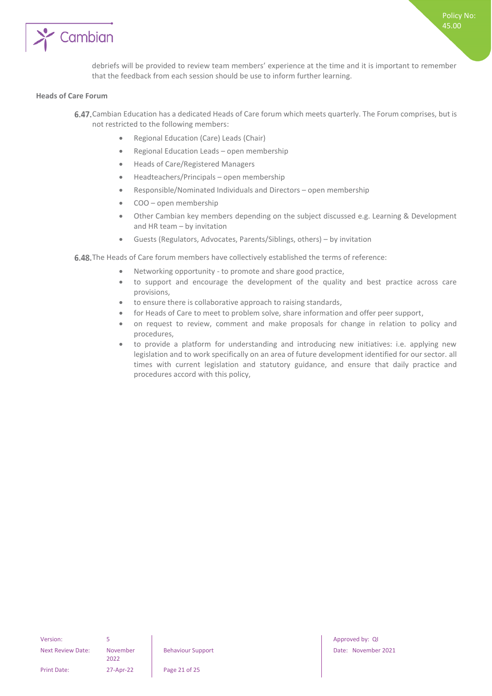

debriefs will be provided to review team members' experience at the time and it is important to remember that the feedback from each session should be use to inform further learning.

#### <span id="page-20-0"></span>**Heads of Care Forum**

- 6.47. Cambian Education has a dedicated Heads of Care forum which meets quarterly. The Forum comprises, but is not restricted to the following members:
	- Regional Education (Care) Leads (Chair)
	- Regional Education Leads open membership
	- Heads of Care/Registered Managers
	- Headteachers/Principals open membership
	- Responsible/Nominated Individuals and Directors open membership
	- COO open membership
	- Other Cambian key members depending on the subject discussed e.g. Learning & Development and HR team – by invitation
	- Guests (Regulators, Advocates, Parents/Siblings, others) by invitation

6.48. The Heads of Care forum members have collectively established the terms of reference:

- Networking opportunity to promote and share good practice,
- to support and encourage the development of the quality and best practice across care provisions,
- to ensure there is collaborative approach to raising standards,
- for Heads of Care to meet to problem solve, share information and offer peer support,
- on request to review, comment and make proposals for change in relation to policy and procedures,
- to provide a platform for understanding and introducing new initiatives: i.e. applying new legislation and to work specifically on an area of future development identified for our sector. all times with current legislation and statutory guidance, and ensure that daily practice and procedures accord with this policy,

Print Date: 27-Apr-22 Page 21 of 25

Version: 5 5 5 Approved by: QI Approved by: QI Approved by: QI Approved by: QI Approved by: QI Approved by: QI Behaviour Support Date: November 2021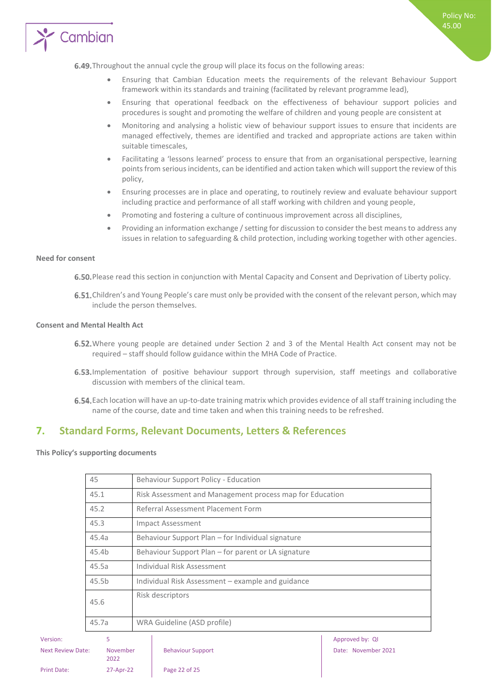

- Ensuring that Cambian Education meets the requirements of the relevant Behaviour Support framework within its standards and training (facilitated by relevant programme lead),
- Ensuring that operational feedback on the effectiveness of behaviour support policies and procedures is sought and promoting the welfare of children and young people are consistent at
- Monitoring and analysing a holistic view of behaviour support issues to ensure that incidents are managed effectively, themes are identified and tracked and appropriate actions are taken within suitable timescales,
- Facilitating a 'lessons learned' process to ensure that from an organisational perspective, learning points from serious incidents, can be identified and action taken which will support the review of this policy,
- Ensuring processes are in place and operating, to routinely review and evaluate behaviour support including practice and performance of all staff working with children and young people,
- Promoting and fostering a culture of continuous improvement across all disciplines,
- Providing an information exchange / setting for discussion to consider the best means to address any issues in relation to safeguarding & child protection, including working together with other agencies.

#### <span id="page-21-0"></span>**Need for consent**

6.50. Please read this section in conjunction with Mental Capacity and Consent and Deprivation of Liberty policy.

6.51. Children's and Young People's care must only be provided with the consent of the relevant person, which may include the person themselves.

#### <span id="page-21-1"></span>**Consent and Mental Health Act**

- 6.52. Where young people are detained under Section 2 and 3 of the Mental Health Act consent may not be required – staff should follow guidance within the MHA Code of Practice.
- 6.53. Implementation of positive behaviour support through supervision, staff meetings and collaborative discussion with members of the clinical team.
- Each location will have an up-to-date training matrix which provides evidence of all staff training including the name of the course, date and time taken and when this training needs to be refreshed.

## <span id="page-21-2"></span>**7. Standard Forms, Relevant Documents, Letters & References**

<span id="page-21-3"></span>**This Policy's supporting documents**

|                                              | 45                |                                                          | Behaviour Support Policy - Education                |                     |
|----------------------------------------------|-------------------|----------------------------------------------------------|-----------------------------------------------------|---------------------|
|                                              | 45.1              | Risk Assessment and Management process map for Education |                                                     |                     |
|                                              | 45.2              |                                                          | Referral Assessment Placement Form                  |                     |
|                                              | 45.3              |                                                          | Impact Assessment                                   |                     |
|                                              | 45.4a             |                                                          | Behaviour Support Plan – for Individual signature   |                     |
|                                              | 45.4b             |                                                          | Behaviour Support Plan – for parent or LA signature |                     |
|                                              | 45.5a             |                                                          | Individual Risk Assessment                          |                     |
|                                              | 45.5 <sub>b</sub> |                                                          | Individual Risk Assessment – example and guidance   |                     |
|                                              | 45.6              |                                                          | Risk descriptors<br>WRA Guideline (ASD profile)     |                     |
|                                              | 45.7a             |                                                          |                                                     |                     |
| Version:                                     | 5                 |                                                          |                                                     | Approved by: QI     |
| November<br><b>Next Review Date:</b><br>2022 |                   |                                                          | <b>Behaviour Support</b>                            | Date: November 2021 |

Print Date: 27-Apr-22 Page 22 of 25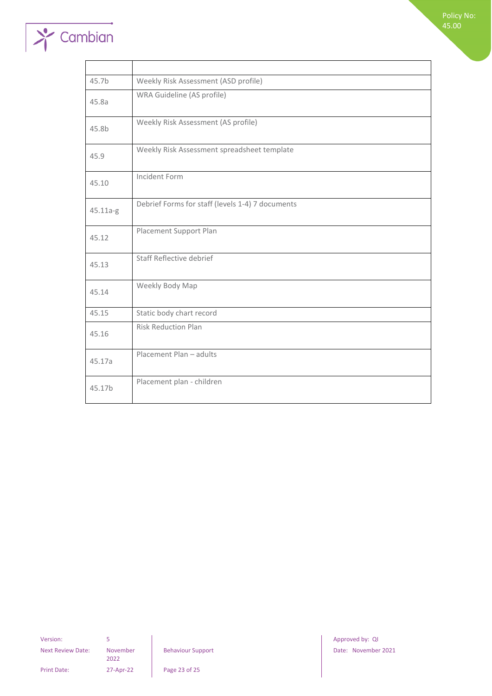

Policy No: 45.00

| 45.7b    | Weekly Risk Assessment (ASD profile)             |
|----------|--------------------------------------------------|
| 45.8a    | WRA Guideline (AS profile)                       |
| 45.8b    | Weekly Risk Assessment (AS profile)              |
| 45.9     | Weekly Risk Assessment spreadsheet template      |
| 45.10    | Incident Form                                    |
| 45.11a-g | Debrief Forms for staff (levels 1-4) 7 documents |
| 45.12    | Placement Support Plan                           |
| 45.13    | Staff Reflective debrief                         |
| 45.14    | Weekly Body Map                                  |
| 45.15    | Static body chart record                         |
| 45.16    | <b>Risk Reduction Plan</b>                       |
| 45.17a   | Placement Plan - adults                          |
| 45.17b   | Placement plan - children                        |

Next Review Date: November

2022

Print Date: 27-Apr-22 Page 23 of 25

Version: 5 3 3 Approved by: QI Approved by: QI Approved by: QI Approved by: QI Behaviour Support **Date: November 2021**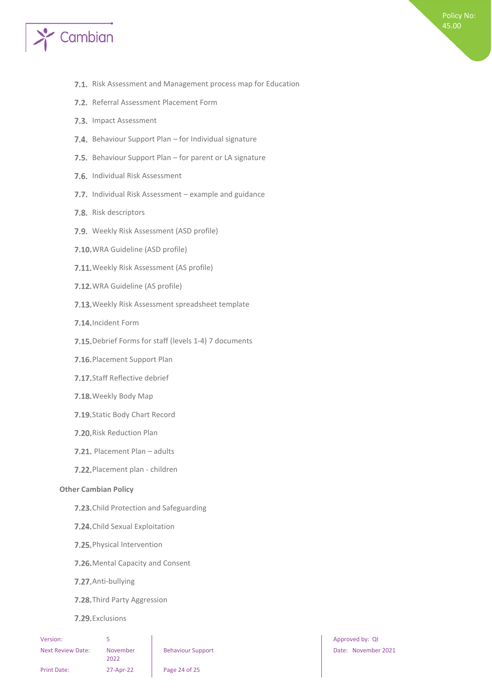

- 7.1. Risk Assessment and Management process map for Education
- 7.2. Referral Assessment Placement Form
- 7.3. Impact Assessment
- 7.4. Behaviour Support Plan for Individual signature
- 7.5. Behaviour Support Plan for parent or LA signature
- 7.6. Individual Risk Assessment
- 7.7. Individual Risk Assessment example and guidance
- 7.8. Risk descriptors
- 7.9. Weekly Risk Assessment (ASD profile)
- 7.10. WRA Guideline (ASD profile)
- 7.11. Weekly Risk Assessment (AS profile)
- 7.12. WRA Guideline (AS profile)
- 7.13. Weekly Risk Assessment spreadsheet template
- 7.14. Incident Form
- 7.15. Debrief Forms for staff (levels 1-4) 7 documents
- 7.16. Placement Support Plan
- 7.17. Staff Reflective debrief
- 7.18. Weekly Body Map
- 7.19. Static Body Chart Record
- 7.20. Risk Reduction Plan
- 7.21. Placement Plan adults
- 7.22. Placement plan children

#### <span id="page-23-0"></span>**Other Cambian Policy**

- 7.23. Child Protection and Safeguarding
- 7.24. Child Sexual Exploitation
- 7.25. Physical Intervention
- 7.26. Mental Capacity and Consent
- 7.27. Anti-bullying
- 7.28. Third Party Aggression
- 7.29. Exclusions

| Version:                 | 5                |
|--------------------------|------------------|
| <b>Next Review Date:</b> | November<br>2022 |
| <b>Print Date:</b>       | 27-Apr-22        |

7-Apr-22 **Page 24 of 25** 

Approved by: QI Behaviour Support **Date: November 2021**